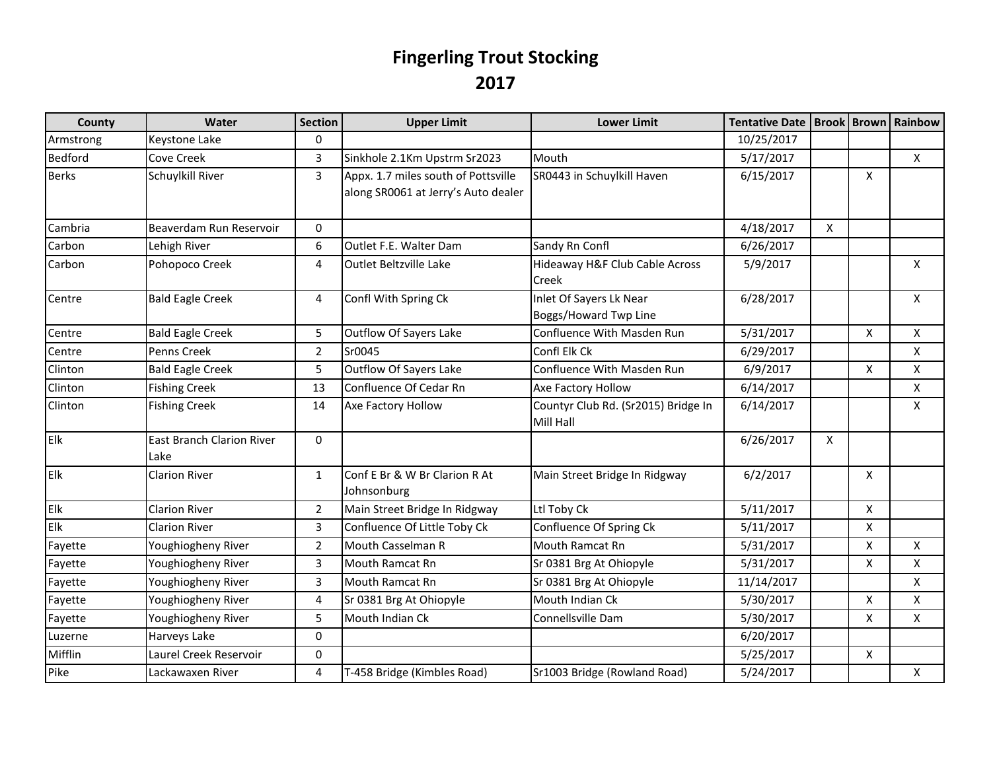## **Fingerling Trout Stocking 2017**

| County       | Water                                    | <b>Section</b> | <b>Upper Limit</b>                                                         | <b>Lower Limit</b>                               | Tentative Date   Brook   Brown   Rainbow |              |                    |                    |
|--------------|------------------------------------------|----------------|----------------------------------------------------------------------------|--------------------------------------------------|------------------------------------------|--------------|--------------------|--------------------|
| Armstrong    | Keystone Lake                            | $\Omega$       |                                                                            |                                                  | 10/25/2017                               |              |                    |                    |
| Bedford      | Cove Creek                               | 3              | Sinkhole 2.1Km Upstrm Sr2023                                               | Mouth                                            | 5/17/2017                                |              |                    | X                  |
| <b>Berks</b> | Schuylkill River                         | 3              | Appx. 1.7 miles south of Pottsville<br>along SR0061 at Jerry's Auto dealer | SR0443 in Schuylkill Haven                       | 6/15/2017                                |              | X                  |                    |
| Cambria      | Beaverdam Run Reservoir                  | 0              |                                                                            |                                                  | 4/18/2017                                | $\mathsf{X}$ |                    |                    |
| Carbon       | Lehigh River                             | 6              | Outlet F.E. Walter Dam                                                     | Sandy Rn Confl                                   | 6/26/2017                                |              |                    |                    |
| Carbon       | Pohopoco Creek                           | 4              | <b>Outlet Beltzville Lake</b>                                              | Hideaway H&F Club Cable Across<br>Creek          | 5/9/2017                                 |              |                    | X                  |
| Centre       | <b>Bald Eagle Creek</b>                  | 4              | Confl With Spring Ck                                                       | Inlet Of Sayers Lk Near<br>Boggs/Howard Twp Line | 6/28/2017                                |              |                    | X                  |
| Centre       | <b>Bald Eagle Creek</b>                  | 5              | <b>Outflow Of Sayers Lake</b>                                              | Confluence With Masden Run                       | 5/31/2017                                |              | $\mathsf{x}$       | $\mathsf{X}$       |
| Centre       | Penns Creek                              | $\overline{2}$ | Sr0045                                                                     | Confl Elk Ck                                     | 6/29/2017                                |              |                    | X                  |
| Clinton      | <b>Bald Eagle Creek</b>                  | 5              | <b>Outflow Of Sayers Lake</b>                                              | Confluence With Masden Run                       | 6/9/2017                                 |              | X                  | $\mathsf{X}$       |
| Clinton      | <b>Fishing Creek</b>                     | 13             | Confluence Of Cedar Rn                                                     | Axe Factory Hollow                               | 6/14/2017                                |              |                    | X                  |
| Clinton      | <b>Fishing Creek</b>                     | 14             | Axe Factory Hollow                                                         | Countyr Club Rd. (Sr2015) Bridge In<br>Mill Hall | 6/14/2017                                |              |                    | X                  |
| Elk          | <b>East Branch Clarion River</b><br>Lake | $\mathbf{0}$   |                                                                            |                                                  | 6/26/2017                                | $\mathsf{X}$ |                    |                    |
| Elk          | <b>Clarion River</b>                     | $\mathbf{1}$   | Conf E Br & W Br Clarion R At<br>Johnsonburg                               | Main Street Bridge In Ridgway                    | 6/2/2017                                 |              | X                  |                    |
| Elk          | <b>Clarion River</b>                     | $\overline{2}$ | Main Street Bridge In Ridgway                                              | Ltl Toby Ck                                      | 5/11/2017                                |              | X                  |                    |
| Elk          | <b>Clarion River</b>                     | 3              | Confluence Of Little Toby Ck                                               | Confluence Of Spring Ck                          | 5/11/2017                                |              | X                  |                    |
| Fayette      | Youghiogheny River                       | $\overline{2}$ | <b>Mouth Casselman R</b>                                                   | Mouth Ramcat Rn                                  | 5/31/2017                                |              | $\pmb{\mathsf{X}}$ | $\pmb{\mathsf{X}}$ |
| Fayette      | Youghiogheny River                       | 3              | Mouth Ramcat Rn                                                            | Sr 0381 Brg At Ohiopyle                          | 5/31/2017                                |              | X                  | X                  |
| Fayette      | Youghiogheny River                       | $\overline{3}$ | Mouth Ramcat Rn                                                            | Sr 0381 Brg At Ohiopyle                          | 11/14/2017                               |              |                    | X                  |
| Fayette      | Youghiogheny River                       | 4              | Sr 0381 Brg At Ohiopyle                                                    | Mouth Indian Ck                                  | 5/30/2017                                |              | X                  | X                  |
| Fayette      | Youghiogheny River                       | 5              | Mouth Indian Ck                                                            | Connellsville Dam                                | 5/30/2017                                |              | $\pmb{\times}$     | $\pmb{\mathsf{X}}$ |
| Luzerne      | Harveys Lake                             | 0              |                                                                            |                                                  | 6/20/2017                                |              |                    |                    |
| Mifflin      | Laurel Creek Reservoir                   | $\pmb{0}$      |                                                                            |                                                  | 5/25/2017                                |              | X                  |                    |
| Pike         | Lackawaxen River                         | 4              | T-458 Bridge (Kimbles Road)                                                | Sr1003 Bridge (Rowland Road)                     | 5/24/2017                                |              |                    | X                  |